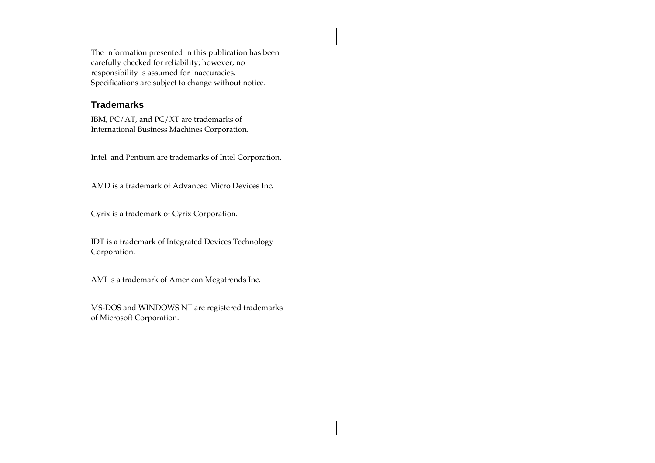The information presented in this publication has been carefully checked for reliability; however, no responsibility is assumed for inaccuracies. Specifications are subject to change without notice.

#### **Trademarks**

IBM, PC/AT, and PC/XT are trademarks of International Business Machines Corporation.

Intel and Pentium are trademarks of Intel Corporation.

AMD is a trademark of Advanced Micro Devices Inc.

Cyrix is a trademark of Cyrix Corporation.

IDT is a trademark of Integrated Devices Technology Corporation.

AMI is a trademark of American Megatrends Inc.

MS-DOS and WINDOWS NT are registered trademarks of Microsoft Corporation.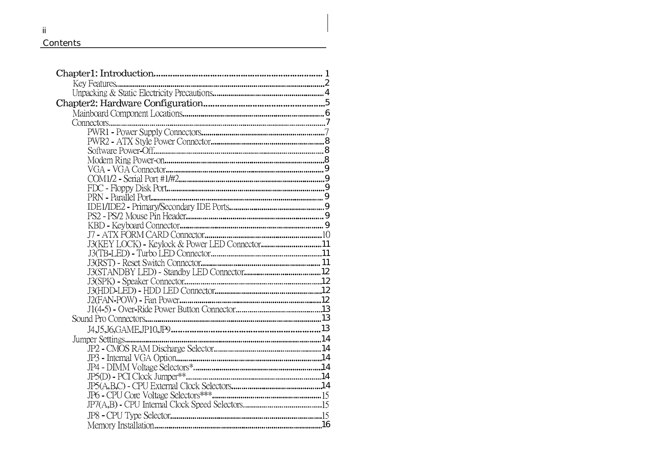#### **Contents**

| Kev Features                                   |  |
|------------------------------------------------|--|
|                                                |  |
|                                                |  |
|                                                |  |
| Connectors                                     |  |
|                                                |  |
|                                                |  |
|                                                |  |
|                                                |  |
|                                                |  |
|                                                |  |
|                                                |  |
|                                                |  |
|                                                |  |
|                                                |  |
|                                                |  |
|                                                |  |
| J3(KEY LOCK) - Keylock & Power LED Connector11 |  |
|                                                |  |
|                                                |  |
|                                                |  |
|                                                |  |
|                                                |  |
|                                                |  |
|                                                |  |
|                                                |  |
|                                                |  |
|                                                |  |
|                                                |  |
|                                                |  |
|                                                |  |
|                                                |  |
|                                                |  |
|                                                |  |
|                                                |  |
|                                                |  |
|                                                |  |

## ii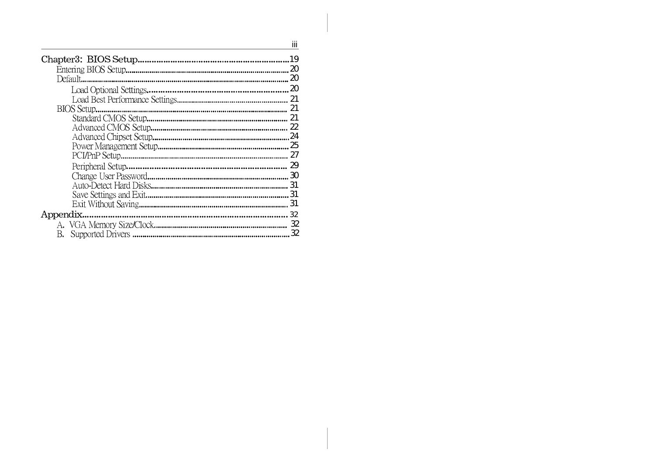|           | İΪİ |
|-----------|-----|
|           | 19  |
|           | 20  |
|           | 20  |
|           | 20  |
|           | 21  |
|           | 21  |
|           |     |
|           | 22  |
|           | 24  |
|           | 25  |
|           | 27  |
|           | 29  |
|           | 30  |
|           | 31  |
|           | 31  |
|           | 31  |
| Appendix. | 32  |
|           | 32  |
| B.        | 32  |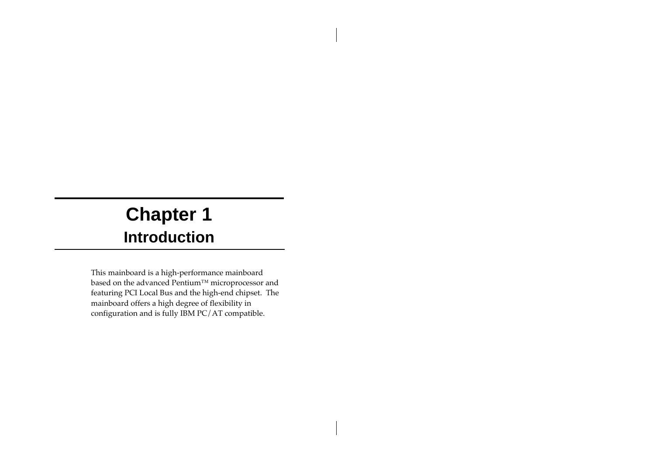# **Chapter 1 Introduction**

This mainboard is a high-performance mainboard based on the advanced Pentium™ microprocessor and featuring PCI Local Bus and the high-end chipset. The mainboard offers a high degree of flexibility in configuration and is fully IBM PC/AT compatible.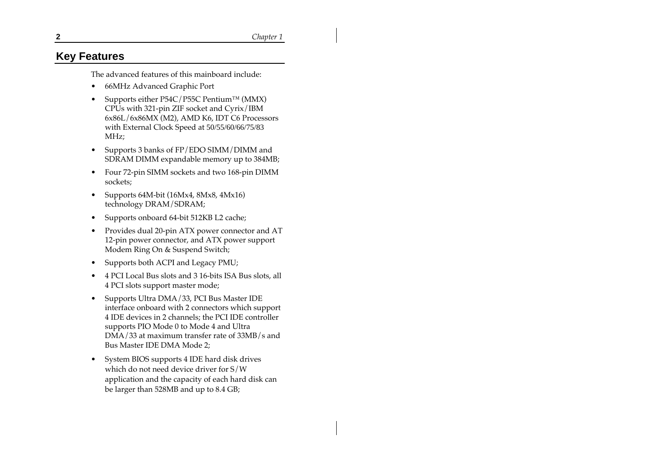#### **Key Features**

The advanced features of this mainboard include:

- 66MHz Advanced Graphic Port
- Supports either P54C/P55C Pentium™ (MMX) CPUs with 321-pin ZIF socket and Cyrix/IBM 6x86L/6x86MX (M2), AMD K6, IDT C6 Processors with External Clock Speed at 50/55/60/66/75/83 MHz;
- Supports 3 banks of FP/EDO SIMM/DIMM and SDRAM DIMM expandable memory up to 384MB;
- Four 72-pin SIMM sockets and two 168-pin DIMM sockets;
- Supports 64M-bit (16Mx4, 8Mx8, 4Mx16) technology DRAM/SDRAM;
- Supports onboard 64-bit 512KB L2 cache;
- Provides dual 20-pin ATX power connector and AT 12-pin power connector, and ATX power support Modem Ring On & Suspend Switch;
- Supports both ACPI and Legacy PMU;
- 4 PCI Local Bus slots and 3 16-bits ISA Bus slots, all 4 PCI slots support master mode;
- Supports Ultra DMA/33, PCI Bus Master IDE interface onboard with 2 connectors which support 4 IDE devices in 2 channels; the PCI IDE controller supports PIO Mode 0 to Mode 4 and Ultra DMA/33 at maximum transfer rate of 33MB/s and Bus Master IDE DMA Mode 2;
- System BIOS supports 4 IDE hard disk drives which do not need device driver for S/W application and the capacity of each hard disk can be larger than 528MB and up to 8.4 GB;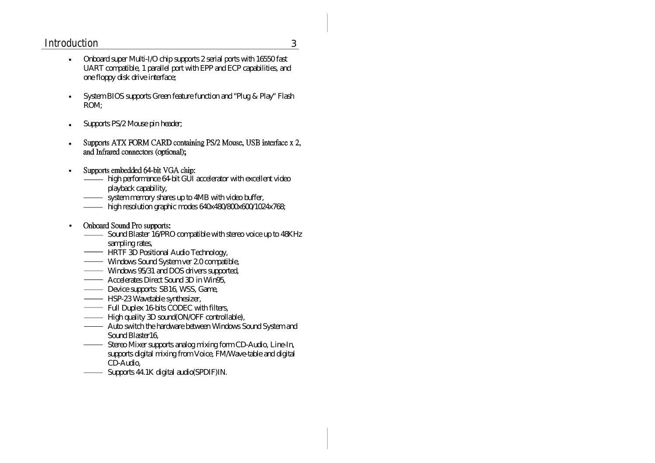#### Introduction 3

- Onboard super Multi-I/O chip supports 2 serial ports with 16550 fast UART compatible, 1 parallel port with EPP and ECP capabilities, and one floppy disk drive interface;
- System BIOS supports Green feature function and "Plug & Play" Flash ROM;
- Supports PS/2 Mouse pin header;
- Supports ATX FORM CARD containing PS/2 Mouse, USB interface x 2, and Infrared connectors (optional):
- Supports embedded 64-bit VGA chip:
	- high performance 64-bit GUI accelerator with excellent video playback capability,
	- system memory shares up to 4MB with video buffer,
	- high resolution graphic modes 640x480/800x600/1024x768;
- Onboard Sound Pro supports:
	- Sound Blaster 16/PRO compatible with stereo voice up to 48KHz sampling rates,
	- **HRTF 3D Positional Audio Technology**,
	- **Windows Sound System ver 2.0 compatible,**
	- Windows 95/31 and DOS drivers supported,
	- **Accelerates Direct Sound 3D in Win95,**
	- Device supports: SB16, WSS, Game,
	- **HSP-23 Wavetable synthesizer,**
	- Full Duplex 16-bits CODEC with filters,
	- **High quality 3D sound(ON/OFF controllable)**,
	- **Auto switch the hardware between Windows Sound System and** Sound Blaster16,
	- Stereo Mixer supports analog mixing form CD-Audio, Line-In, supports digital mixing from Voice, FM/Wave-table and digital CD-Audio,
	- Supports 44.1K digital audio(SPDIF)IN.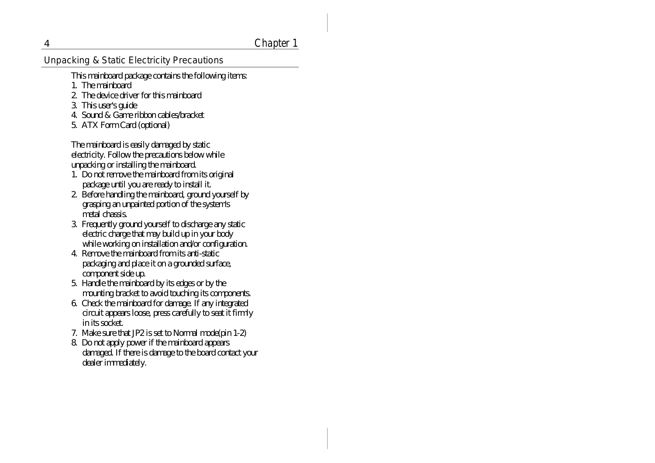#### 4 Chapter 1

Unpacking & Static Electricity Precautions

- This mainboard package contains the following items:
- 1. The mainboard
- 2. The device driver for this mainboard
- 3. This user's guide
- 4. Sound & Game ribbon cables/bracket
- 5. ATX Form Card (optional)

The mainboard is easily damaged by static electricity. Follow the precautions below while unpacking or installing the mainboard.

- 1. Do not remove the mainboard from its original package until you are ready to install it.
- 2. Before handling the mainboard, ground yourself by grasping an unpainted portion of the system's metal chassis.
- 3. Frequently ground yourself to discharge any static electric charge that may build up in your body while working on installation and/or configuration.
- 4. Remove the mainboard from its anti-static packaging and place it on a grounded surface, component side up.
- 5. Handle the mainboard by its edges or by the mounting bracket to avoid touching its components.
- 6. Check the mainboard for damage. If any integrated circuit appears loose, press carefully to seat it firmly in its socket.
- 7. Make sure that JP2 is set to Normal mode(pin 1-2)
- 8. Do not apply power if the mainboard appears damaged. If there is damage to the board contact your dealer immediately.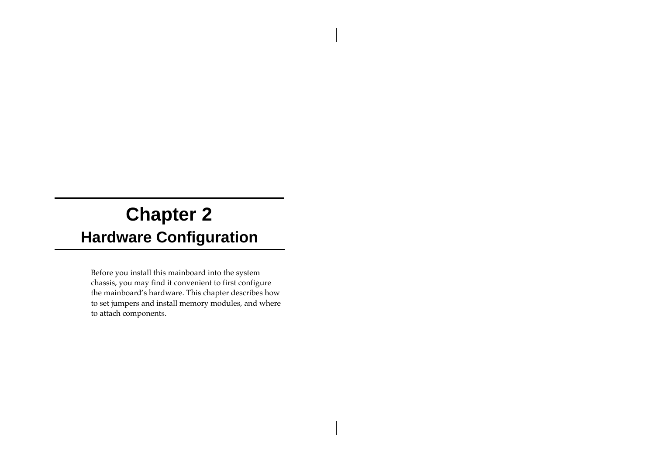# **Chapter 2 Hardware Configuration**

Before you install this mainboard into the system chassis, you may find it convenient to first configure the mainboard's hardware. This chapter describes how to set jumpers and install memory modules, and where to attach components.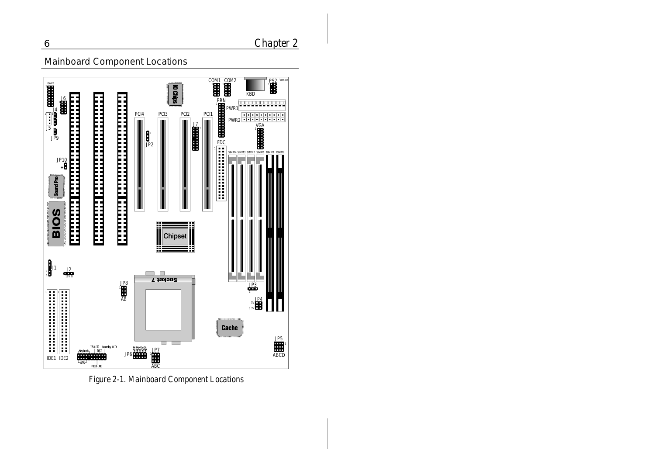### 6 Chapter 2

### Mainboard Component Locations



Figure 2-1. Mainboard Component Locations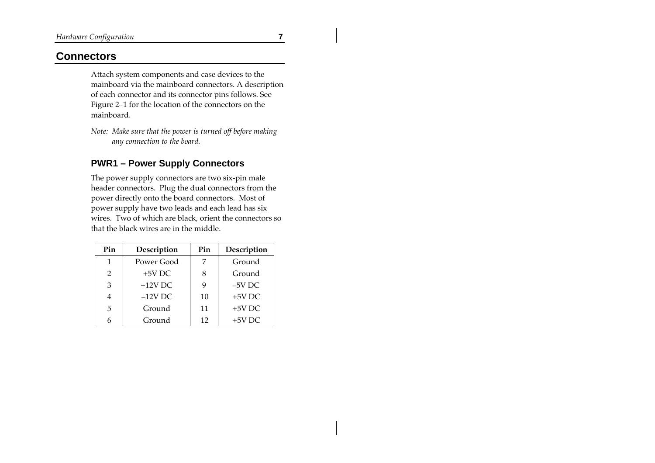#### **Connectors**

Attach system components and case devices to the mainboard via the mainboard connectors. A description of each connector and its connector pins follows. See Figure 2–1 for the location of the connectors on the mainboard.

*Note: Make sure that the power is turned off before making any connection to the board.*

#### **PWR1 – Power Supply Connectors**

The power supply connectors are two six-pin male header connectors. Plug the dual connectors from the power directly onto the board connectors. Most of power supply have two leads and each lead has six wires. Two of which are black, orient the connectors so that the black wires are in the middle.

| Pin | Description | Pin | Description |
|-----|-------------|-----|-------------|
| 1   | Power Good  |     | Ground      |
| 2   | $+5V$ DC    |     | Ground      |
| 3   | $+12V$ DC   |     | $-5V$ DC    |
| 4   | $-12V$ DC   | 10  | $+5V$ DC    |
| 5   | Ground      | 11  | $+5V$ DC    |
|     | Ground      | 12  | $+5V$ DC    |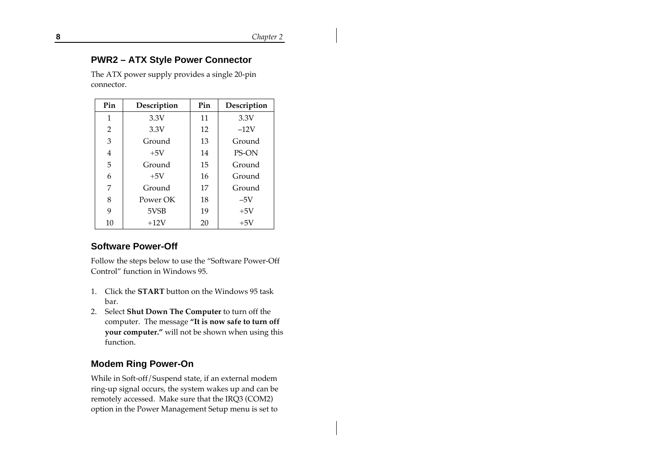#### **PWR2 – ATX Style Power Connector**

The ATX power supply provides a single 20-pin connector.

| Pin | Description | Pin | Description  |
|-----|-------------|-----|--------------|
| 1   | 3.3V        | 11  | 3.3V         |
| 2   | 3.3V        | 12  | $-12V$       |
| 3   | Ground      | 13  | Ground       |
| 4   | $+5V$       | 14  | <b>PS-ON</b> |
| 5   | Ground      | 15  | Ground       |
| 6   | $+5V$       | 16  | Ground       |
| 7   | Ground      | 17  | Ground       |
| 8   | Power OK    | 18  | $-5V$        |
| 9   | 5VSB        | 19  | $+5V$        |
| 10  | $+12V$      | 20  | $+5V$        |

#### **Software Power-Off**

Follow the steps below to use the "Software Power-Off Control" function in Windows 95.

- 1. Click the **START** button on the Windows 95 task bar.
- 2. Select **Shut Down The Computer** to turn off the computer. The message **"It is now safe to turn off your computer."** will not be shown when using this function.

#### **Modem Ring Power-On**

While in Soft-off/Suspend state, if an external modem ring-up signal occurs, the system wakes up and can be remotely accessed. Make sure that the IRQ3 (COM2) option in the Power Management Setup menu is set to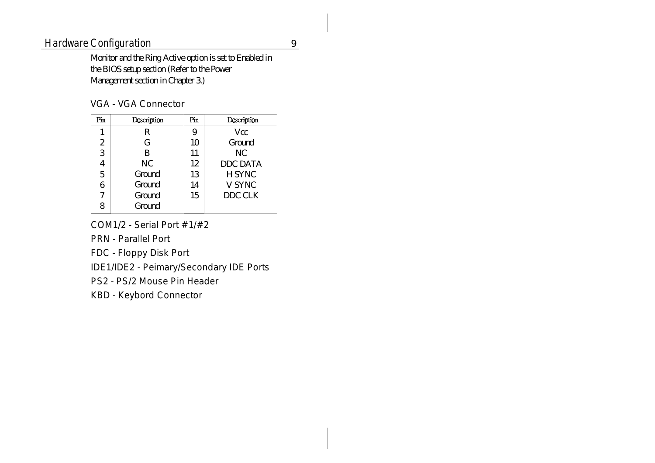### Hardware Configuration 9

Monitor and the Ring Active option is set to Enabled in the BIOS setup section (Refer to the Power Management section in Chapter 3.)

#### VGA - VGA Connector

| Pin            | Description | Pin | Description     |
|----------------|-------------|-----|-----------------|
| 1              | R           | 9   | Vcc.            |
| $\overline{2}$ | G           | 10  | Ground          |
| 3              | B           | 11  | NС              |
| 4              | <b>NC</b>   | 12  | <b>DDC DATA</b> |
| 5              | Ground      | 13  | <b>H SYNC</b>   |
| 6              | Ground      | 14  | V SYNC          |
| 7              | Ground      | 15  | DDC CLK         |
| 8              | Ground      |     |                 |

COM1/2 - Serial Port #1/#2

PRN - Parallel Port

FDC - Floppy Disk Port

IDE1/IDE2 - Peimary/Secondary IDE Ports

PS2 - PS/2 Mouse Pin Header

KBD - Keybord Connector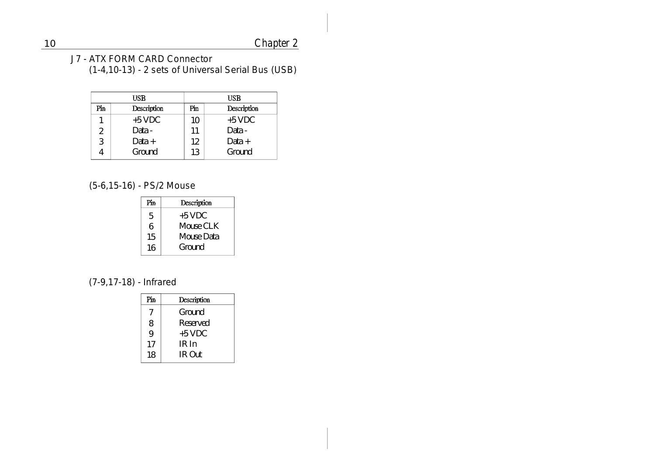J7 - ATX FORM CARD Connector (1-4,10-13)-2 sets of Universal Serial Bus (USB)

|     | USB         |     | USB         |
|-----|-------------|-----|-------------|
| Pin | Description | Pin | Description |
|     | $+5$ VDC    | 10  | $+5$ VDC    |
| 2   | Data -      | 11  | Data -      |
| 3   | Data +      | 12  | Data +      |
|     | Ground      | 13  | Ground      |

(5-6,15-16) - PS/2 Mouse

| Pin | Description |
|-----|-------------|
| 5   | +5 VDC      |
| 6   | Mouse CLK   |
| 15  | Mouse Data  |
| 16  | Ground      |
|     |             |

### (7-9,17-18) - Infrared

| Description |
|-------------|
| Ground      |
| Reserved    |
| $+5$ VDC    |
| IR In       |
| IR Out      |
|             |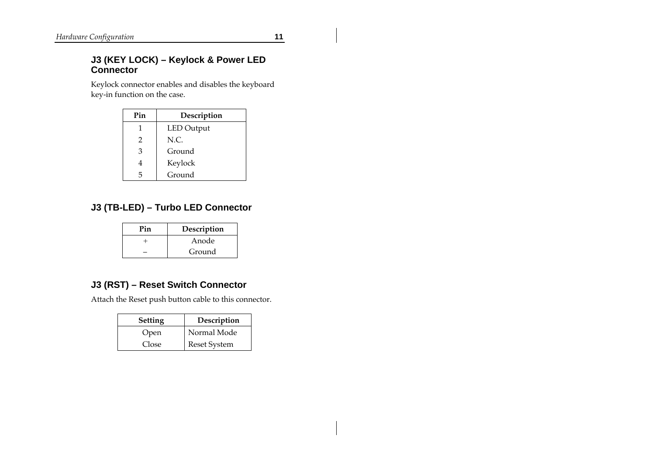#### **J3 (KEY LOCK) – Keylock & Power LED Connector**

Keylock connector enables and disables the keyboard key-in function on the case.

| Pin | Description       |
|-----|-------------------|
| 1   | <b>LED</b> Output |
| 2   | N.C.              |
| 3   | Ground            |
| 4   | Keylock           |
| 5   | Ground            |

#### **J3 (TB-LED) – Turbo LED Connector**

| Pin | Description |
|-----|-------------|
|     | Anode       |
|     | Ground      |

#### **J3 (RST) – Reset Switch Connector**

Attach the Reset push button cable to this connector.

| <b>Setting</b> | Description         |
|----------------|---------------------|
| Open           | Normal Mode         |
| Close          | <b>Reset System</b> |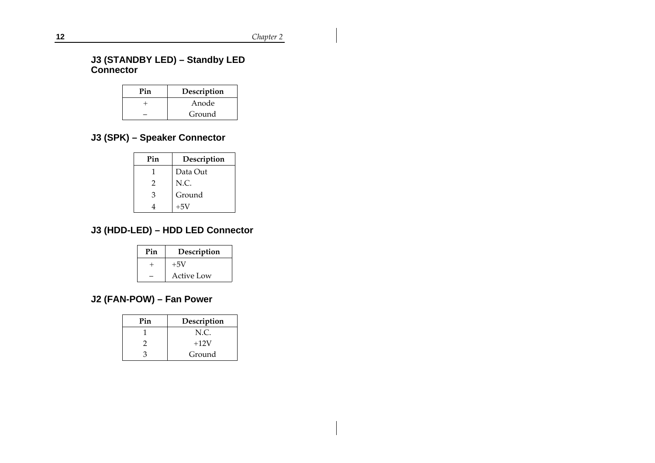#### **J3 (STANDBY LED) – Standby LED Connector**

| Pin | Description |
|-----|-------------|
|     | Anode       |
|     | Ground      |

### **J3 (SPK) – Speaker Connector**

| Pin | Description |
|-----|-------------|
| 1   | Data Out    |
| 2   | N.C.        |
| 3   | Ground      |
|     | $+5V$       |

### **J3 (HDD-LED) – HDD LED Connector**

| Pin | Description |
|-----|-------------|
|     | $+5V$       |
|     | Active Low  |

### **J2 (FAN-POW) – Fan Power**

| Pin | Description |
|-----|-------------|
|     | N.C.        |
|     | $+12V$      |
|     | Ground      |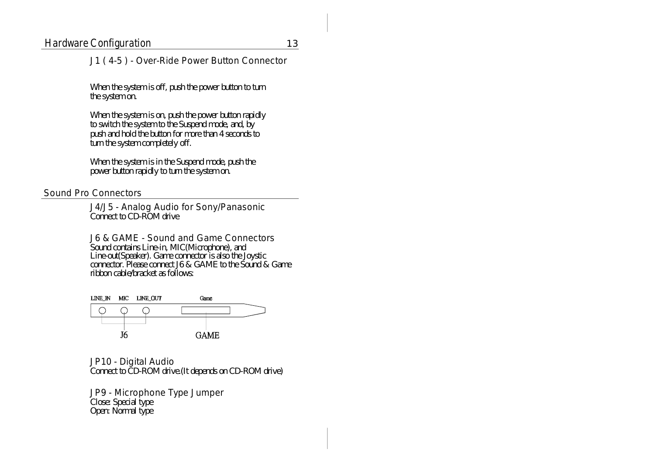#### J1 ( 4-5)- Over-Ride Power Button Connector

When the system is off, push the power button to turn the system on.

When the system is on, push the power button rapidly to switch the system to the Suspend mode, and, by push and hold the button for more than 4 seconds to turn the system completely off.

When the system is in the Suspend mode, push the power button rapidly to turn the system on.

#### Sound Pro Connectors

J4/J5 - Analog Audio for Sony/Panasonic Connect to CD-ROM drive

J6 & GAME - Sound and Game Connectors Sound contains Line-in, MIC(Microphone), and Line-out(Speaker). Game connector is also the Joystic connector. Please connect J6 & GAME to the Sound & Game ribbon cable/bracket as follows:



JP10 - Digital Audio Connect to CD-ROM drive.(It depends on CD-ROM drive)

JP9 - Microphone Type Jumper Close: Special type Open: Normal type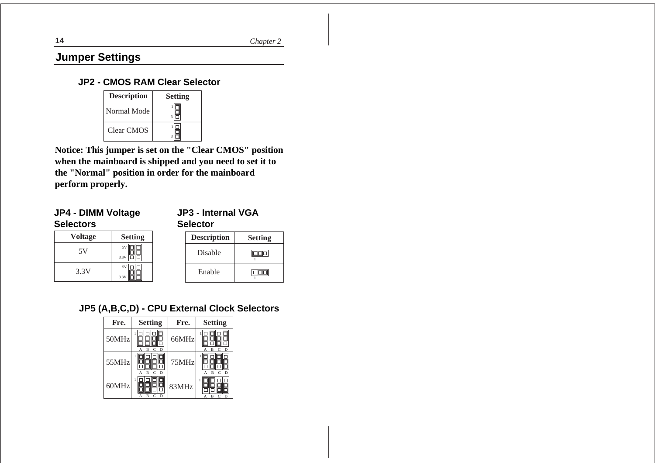**14** *Chapter 2*

### **Jumper Settings**

#### **JP2 - CMOS RAM Clear Selector**

| <b>Description</b> | <b>Setting</b> |
|--------------------|----------------|
| Normal Mode        |                |
| Clear CMOS         |                |

**Notice: This jumper is set on the "Clear CMOS" position when the mainboard is shipped and you need to set it to the "Normal" position in order for the mainboard perform properly.**

#### **JP4 - DIMM Voltage Selectors**

**JP3 - Internal VGA Selector**

| <b>Voltage</b> | <b>Setting</b> |
|----------------|----------------|
| 5V             | 5V<br>3.3V     |
| 3.3V           | 5V<br>3.31     |

| <b>Description</b> | <b>Setting</b> |
|--------------------|----------------|
| <b>Disable</b>     |                |
| Enable             |                |

#### **JP5 (A,B,C,D) - CPU External Clock Selectors**

| Fre.  | <b>Setting</b> | Fre.  | <b>Setting</b> |
|-------|----------------|-------|----------------|
| 50MHz | D<br>R         | 66MHz | Đ<br>в         |
| 55MHz | D<br>в         | 75MHz | D<br>в         |
| 60MHz | R              | 83MHz | в<br>D         |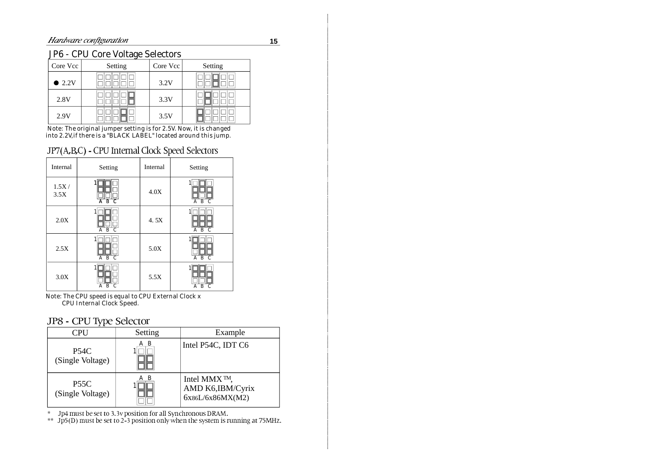#### JP6 - CPU Core Voltage Selectors

| Core Vcc       | Setting | Core Vcc | Setting |
|----------------|---------|----------|---------|
| $\bullet$ 2.2V |         | 3.2V     |         |
| 2.8V           |         | 3.3V     |         |
| 2.9V           |         | 3.5V     |         |

Note: The original jumper setting is for 2.5V. Now, it is changed into 2.2V,if there is a "BLACK LABEL" located around this jump.

#### JP7(A,B,C) - CPU Internal Clock Speed Selectors

| Internal      | Setting                               | Internal | Setting                          |
|---------------|---------------------------------------|----------|----------------------------------|
| 1.5X/<br>3.5X | $B$ C<br>A                            | 4.0X     | B C<br>A                         |
| 2.0X          | $\overline{C}$<br>$\overline{B}$<br>A | 4.5X     | $\overline{B}$<br>A<br>$\subset$ |
| 2.5X          | $\overline{C}$<br>$\overline{B}$<br>A | 5.0X     | $A$ $B$ $C$                      |
| 3.0X          | B<br>С<br>Α                           | 5.5X     | B<br>A<br>С                      |

Note: The CPU speed is equal to CPU External Clock x CPU Internal Clock Speed.

#### JP8 - CPU Type Selector

| <b>CPU</b>                      | Setting  | Example                                              |
|---------------------------------|----------|------------------------------------------------------|
| <b>P54C</b><br>(Single Voltage) | - B<br>А | Intel P54C, IDT C6                                   |
| <b>P55C</b><br>(Single Voltage) | B        | Intel MMX™,<br>AMD K6, IBM/Cyrix<br>6x86L/6x86MX(M2) |

\* Jp4 must be set to 3.3v position for all Synchronous DRAM.<br>\*\* Jp5(D) must be set to 2-3 position only when the system is running at 75MHz.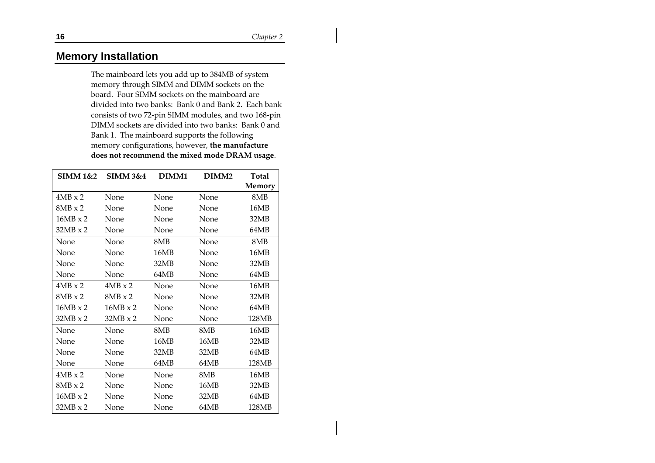#### **Memory Installation**

The mainboard lets you add up to 384MB of system memory through SIMM and DIMM sockets on the board. Four SIMM sockets on the mainboard are divided into two banks: Bank 0 and Bank 2. Each bank consists of two 72-pin SIMM modules, and two 168-pin DIMM sockets are divided into two banks: Bank 0 and Bank 1. The mainboard supports the following memory configurations, however, **the manufacture does not recommend the mixed mode DRAM usage**.

| <b>SIMM 1&amp;2</b> | <b>SIMM 3&amp;4</b> | DIMM1 | DIMM <sub>2</sub> | <b>Total</b><br>Memory |
|---------------------|---------------------|-------|-------------------|------------------------|
| $4MB \times 2$      | None                | None  | None              | 8MB                    |
| $8MB \times 2$      | None                | None  | None              | 16MB                   |
| $16MB \times 2$     | None                | None  | None              | 32MB                   |
| $32MB \times 2$     | None                | None  | None              | 64MB                   |
| None                | None                | 8MB   | None              | 8MB                    |
| None                | None                | 16MB  | None              | 16MB                   |
| None                | None                | 32MB  | None              | 32MB                   |
| None                | None                | 64MB  | None              | 64MB                   |
| $4MB \times 2$      | $4MB \times 2$      | None  | None              | 16MB                   |
| $8MB \times 2$      | $8MB \times 2$      | None  | None              | 32MB                   |
| $16MB \times 2$     | $16MB \times 2$     | None  | None              | 64MB                   |
| $32MB \times 2$     | $32MB \times 2$     | None  | None              | 128MB                  |
| None                | None                | 8MB   | 8MB               | 16MB                   |
| None                | None                | 16MB  | 16MB              | 32MB                   |
| None                | None                | 32MB  | 32MB              | 64MB                   |
| None                | None                | 64MB  | 64MB              | 128MB                  |
| $4MB \times 2$      | None                | None  | 8MB               | 16MB                   |
| $8MB \times 2$      | None                | None  | 16MB              | 32MB                   |
| $16MB \times 2$     | None                | None  | 32MB              | 64MB                   |
| $32MB \times 2$     | None                | None  | 64MB              | 128MB                  |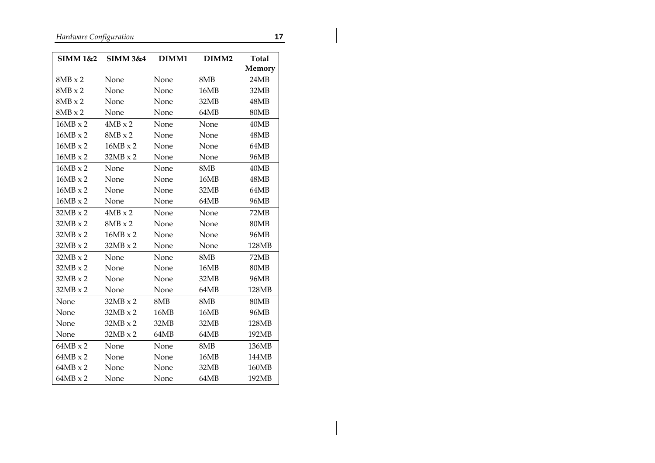*Hardware Configuration* **17**

| SIMM 1&2        | <b>SIMM 3&amp;4</b> | DIMM1 | DIMM <sub>2</sub> | <b>Total</b><br>Memory |
|-----------------|---------------------|-------|-------------------|------------------------|
| $8MB \times 2$  | None                | None  | 8MB               | 24MB                   |
| $8MB \times 2$  | None                | None  | 16MB              | 32MB                   |
| $8MB \times 2$  | None                | None  | 32MB              | 48MB                   |
| $8MB \times 2$  | None                | None  | 64MB              | 80MB                   |
| $16MB \times 2$ | $4MB \times 2$      | None  | None              | 40MB                   |
| $16MB \times 2$ | $8MB \times 2$      | None  | None              | 48MB                   |
| $16MB \times 2$ | $16MB \times 2$     | None  | None              | 64MB                   |
| $16MB \times 2$ | $32MB \times 2$     | None  | None              | 96MB                   |
| $16MB \times 2$ | None                | None  | 8MB               | 40MB                   |
| $16MB \times 2$ | None                | None  | 16MB              | 48MB                   |
| $16MB \times 2$ | None                | None  | 32MB              | 64MB                   |
| $16MB \times 2$ | None                | None  | 64MB              | 96MB                   |
| $32MB \times 2$ | $4MB \times 2$      | None  | None              | 72MB                   |
| $32MB \times 2$ | $8MB \times 2$      | None  | None              | 80MB                   |
| $32MB \times 2$ | $16MB \times 2$     | None  | None              | 96MB                   |
| $32MB \times 2$ | $32MB \times 2$     | None  | None              | 128MB                  |
| $32MB \times 2$ | None                | None  | 8MB               | 72MB                   |
| $32MB \times 2$ | None                | None  | 16MB              | 80MB                   |
| $32MB \times 2$ | None                | None  | 32MB              | 96MB                   |
| $32MB \times 2$ | None                | None  | 64MB              | 128MB                  |
| None            | $32MB \times 2$     | 8MB   | 8MB               | 80MB                   |
| None            | 32MB x 2            | 16MB  | 16MB              | 96MB                   |
| None            | $32MB \times 2$     | 32MB  | 32MB              | 128MB                  |
| None            | $32MB \times 2$     | 64MB  | 64MB              | 192MB                  |
| $64MB \times 2$ | None                | None  | 8MB               | 136MB                  |
| $64MB \times 2$ | None                | None  | 16MB              | 144MB                  |
| $64MB \times 2$ | None                | None  | 32MB              | 160MB                  |
| $64MB \times 2$ | None                | None  | 64MB              | 192MB                  |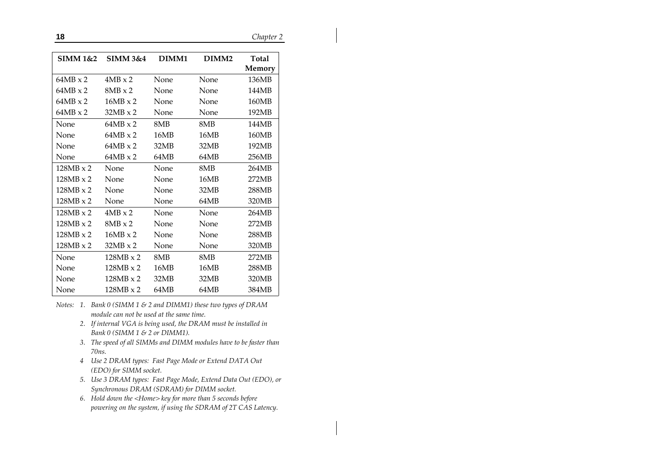**18** *Chapter 2*

| <b>SIMM 1&amp;2</b> | SIMM 3&4         | DIMM1 | DIMM <sub>2</sub> | Total<br>Memory |
|---------------------|------------------|-------|-------------------|-----------------|
| $64MB \times 2$     | $4MB \times 2$   | None  | None              | 136MB           |
| $64MB \times 2$     | $8MB \times 2$   | None  | None              | 144MB           |
| $64MB \times 2$     | $16MB \times 2$  | None  | None              | 160MB           |
| $64MB \times 2$     | $32MB \times 2$  | None  | None              | 192MB           |
| None                | $64MB \times 2$  | 8MB   | 8MB               | 144MB           |
| None                | $64MB \times 2$  | 16MB  | 16MB              | 160MB           |
| None                | $64MB \times 2$  | 32MB  | 32MB              | 192MB           |
| None                | $64MB \times 2$  | 64MB  | 64MB              | 256MB           |
| $128MB \times 2$    | None             | None  | 8MB               | 264MB           |
| $128MB \times 2$    | None             | None  | 16MB              | 272MB           |
| $128MB \times 2$    | None             | None  | 32MB              | 288MB           |
| $128MB \times 2$    | None             | None  | 64MB              | 320MB           |
| $128MB \times 2$    | $4MB \times 2$   | None  | None              | 264MB           |
| $128MB \times 2$    | $8MB \times 2$   | None  | None              | 272MB           |
| $128MB \times 2$    | $16MB \times 2$  | None  | None              | 288MB           |
| 128MB x 2           | $32MB \times 2$  | None  | None              | 320MB           |
| None                | $128MB \times 2$ | 8MB   | 8MB               | 272MB           |
| None                | $128MB \times 2$ | 16MB  | 16MB              | 288MB           |
| None                | $128MB \times 2$ | 32MB  | 32MB              | 320MB           |
| None                | $128MB \times 2$ | 64MB  | 64MB              | 384MB           |

- *Notes: 1. Bank 0 (SIMM 1 & 2 and DIMM1) these two types of DRAM module can not be used at the same time.*
	- *2. If internal VGA is being used, the DRAM must be installed in Bank 0 (SIMM 1 & 2 or DIMM1).*
	- *3. The speed of all SIMMs and DIMM modules have to be faster than 70ns.*
	- *<sup>4</sup> Use 2 DRAM types: Fast Page Mode or Extend DATA Out (EDO) for SIMM socket.*
	- *5. Use 3 DRAM types: Fast Page Mode, Extend Data Out (EDO), or Synchronous DRAM (SDRAM) for DIMM socket.*
	- *6. Hold down the <Home> key for more than 5 seconds before powering on the system, if using the SDRAM of 2T CAS Latency.*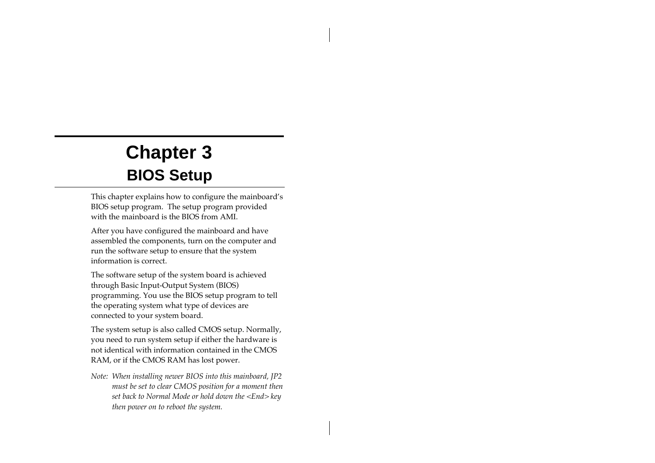# **Chapter 3 BIOS Setup**

This chapter explains how to configure the mainboard's BIOS setup program. The setup program provided with the mainboard is the BIOS from AMI.

After you have configured the mainboard and have assembled the components, turn on the computer and run the software setup to ensure that the system information is correct.

The software setup of the system board is achieved through Basic Input-Output System (BIOS) programming. You use the BIOS setup program to tell the operating system what type of devices are connected to your system board.

The system setup is also called CMOS setup. Normally, you need to run system setup if either the hardware is not identical with information contained in the CMOS RAM, or if the CMOS RAM has lost power.

*Note: When installing newer BIOS into this mainboard, JP2 must be set to clear CMOS position for a moment then set back to Normal Mode or hold down the <End> key then power on to reboot the system.*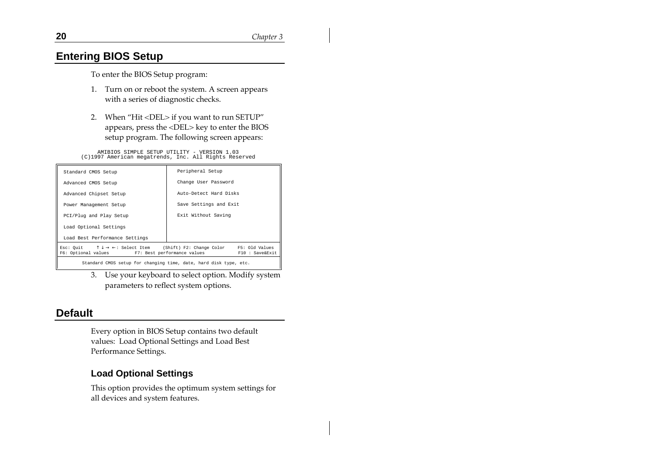#### **Entering BIOS Setup**

To enter the BIOS Setup program:

- 1. Turn on or reboot the system. A screen appears with a series of diagnostic checks.
- 2. When "Hit <DEL> if you want to run SETUP" appears, press the <DEL> key to enter the BIOS setup program. The following screen appears:

AMIBIOS SIMPLE SETUP UTILITY - VERSION 1.03 (C)1997 American megatrends, Inc. All Rights Reserved

| Standard CMOS Setup                                                                                                                                                                | Peripheral Setup       |  |
|------------------------------------------------------------------------------------------------------------------------------------------------------------------------------------|------------------------|--|
| Advanced CMOS Setup                                                                                                                                                                | Change User Password   |  |
| Advanced Chipset Setup                                                                                                                                                             | Auto-Detect Hard Disks |  |
| Power Management Setup                                                                                                                                                             | Save Settings and Exit |  |
| PCI/Plug and Play Setup                                                                                                                                                            | Exit Without Saving    |  |
| Load Optional Settings                                                                                                                                                             |                        |  |
| Load Best Performance Settings                                                                                                                                                     |                        |  |
| Esc: Quit $\uparrow \downarrow \rightarrow \leftarrow$ : Select Item (Shift) F2: Change Color F5: Old Values<br>F6: Optional values F7: Best performance values<br>F10 : Save&Exit |                        |  |
| Standard CMOS setup for changing time, date, hard disk type, etc.                                                                                                                  |                        |  |

3. Use your keyboard to select option. Modify system parameters to reflect system options.

#### **Default**

Every option in BIOS Setup contains two default values: Load Optional Settings and Load Best Performance Settings.

#### **Load Optional Settings**

This option provides the optimum system settings for all devices and system features.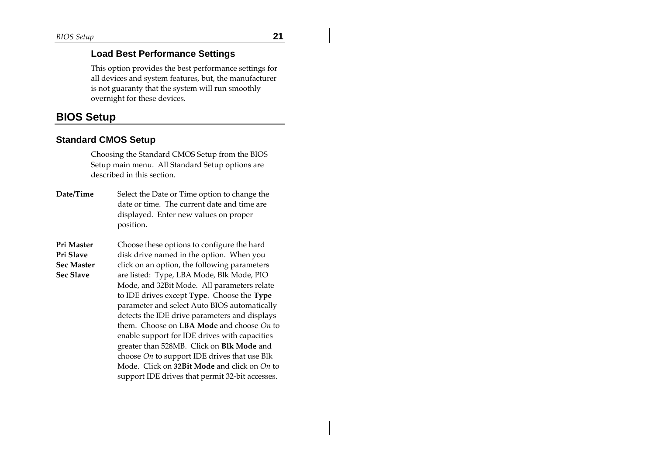#### **Load Best Performance Settings**

This option provides the best performance settings for all devices and system features, but, the manufacturer is not guaranty that the system will run smoothly overnight for these devices.

#### **BIOS Setup**

#### **Standard CMOS Setup**

Choosing the Standard CMOS Setup from the BIOS Setup main menu. All Standard Setup options are described in this section.

- **Date/Time** Select the Date or Time option to change the date or time. The current date and time are displayed. Enter new values on proper position.
- **Pri Master Pri Slave Sec Master Sec Slave** Choose these options to configure the hard disk drive named in the option. When you click on an option, the following parameters are listed: Type, LBA Mode, Blk Mode, PIO Mode, and 32Bit Mode. All parameters relate to IDE drives except **Type**. Choose the **Type** parameter and select Auto BIOS automatically detects the IDE drive parameters and displays them. Choose on **LBA Mode** and choose *On* to enable support for IDE drives with capacities greater than 528MB. Click on **Blk Mode** and choose *On* to support IDE drives that use Blk Mode. Click on **32Bit Mode** and click on *On* to support IDE drives that permit 32-bit accesses.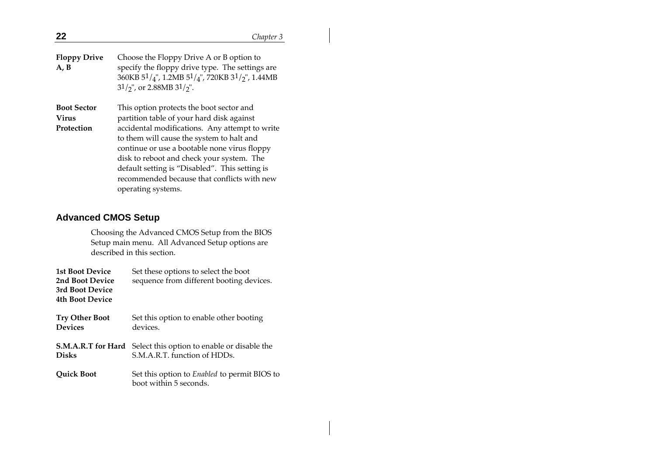$31/y$ ", or 2.88MB  $31/y$ ".

360KB 51/4", 1.2MB 51/4", 720KB 31/2", 1.44MB

**Boot Sector Virus Protection** This option protects the boot sector and partition table of your hard disk against accidental modifications. Any attempt to write to them will cause the system to halt and continue or use a bootable none virus floppy disk to reboot and check your system. The default setting is "Disabled". This setting is recommended because that conflicts with new operating systems.

#### **Advanced CMOS Setup**

Choosing the Advanced CMOS Setup from the BIOS Setup main menu. All Advanced Setup options are described in this section.

| <b>1st Boot Device</b><br>2nd Boot Device<br>3rd Boot Device<br><b>4th Boot Device</b> | Set these options to select the boot<br>sequence from different booting devices.                      |
|----------------------------------------------------------------------------------------|-------------------------------------------------------------------------------------------------------|
| <b>Try Other Boot</b><br><b>Devices</b>                                                | Set this option to enable other booting<br>devices.                                                   |
| <b>Disks</b>                                                                           | <b>S.M.A.R.T for Hard</b> Select this option to enable or disable the<br>S.M.A.R.T. function of HDDs. |
| <b>Quick Boot</b>                                                                      | Set this option to <i>Enabled</i> to permit BIOS to<br>boot within 5 seconds.                         |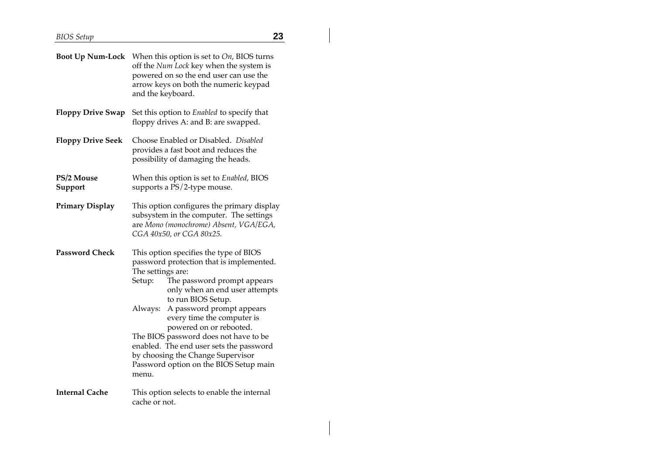$\overline{\phantom{a}}$ 

|                              | <b>Boot Up Num-Lock</b> When this option is set to On, BIOS turns<br>off the Num Lock key when the system is<br>powered on so the end user can use the<br>arrow keys on both the numeric keypad<br>and the keyboard.                                                                                                                                                                                                                                                                  |  |
|------------------------------|---------------------------------------------------------------------------------------------------------------------------------------------------------------------------------------------------------------------------------------------------------------------------------------------------------------------------------------------------------------------------------------------------------------------------------------------------------------------------------------|--|
| Floppy Drive Swap            | Set this option to <i>Enabled</i> to specify that<br>floppy drives A: and B: are swapped.                                                                                                                                                                                                                                                                                                                                                                                             |  |
| <b>Floppy Drive Seek</b>     | Choose Enabled or Disabled. Disabled<br>provides a fast boot and reduces the<br>possibility of damaging the heads.                                                                                                                                                                                                                                                                                                                                                                    |  |
| <b>PS/2 Mouse</b><br>Support | When this option is set to Enabled, BIOS<br>supports a PS/2-type mouse.                                                                                                                                                                                                                                                                                                                                                                                                               |  |
| Primary Display              | This option configures the primary display<br>subsystem in the computer. The settings<br>are Mono (monochrome) Absent, VGA/EGA,<br>CGA 40x50, or CGA 80x25.                                                                                                                                                                                                                                                                                                                           |  |
| Password Check               | This option specifies the type of BIOS<br>password protection that is implemented.<br>The settings are:<br>The password prompt appears<br>Setup:<br>only when an end user attempts<br>to run BIOS Setup.<br>A password prompt appears<br>Always:<br>every time the computer is<br>powered on or rebooted.<br>The BIOS password does not have to be<br>enabled. The end user sets the password<br>by choosing the Change Supervisor<br>Password option on the BIOS Setup main<br>menu. |  |
| Internal Cache               | This option selects to enable the internal<br>cache or not.                                                                                                                                                                                                                                                                                                                                                                                                                           |  |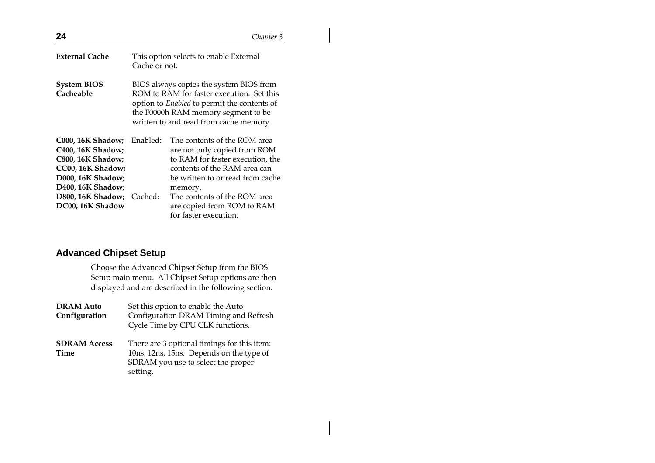| 24                                                                                                                                       |                                                                                                                                                                                                                      | Chapter 3                                                                                                                                                                       |
|------------------------------------------------------------------------------------------------------------------------------------------|----------------------------------------------------------------------------------------------------------------------------------------------------------------------------------------------------------------------|---------------------------------------------------------------------------------------------------------------------------------------------------------------------------------|
| <b>External Cache</b>                                                                                                                    | Cache or not.                                                                                                                                                                                                        | This option selects to enable External                                                                                                                                          |
| <b>System BIOS</b><br>Cacheable                                                                                                          | BIOS always copies the system BIOS from<br>ROM to RAM for faster execution. Set this<br>option to Enabled to permit the contents of<br>the F0000h RAM memory segment to be<br>written to and read from cache memory. |                                                                                                                                                                                 |
| <b>C000, 16K Shadow;</b><br>C400, 16K Shadow;<br><b>C800, 16K Shadow;</b><br>CC00, 16K Shadow;<br>D000, 16K Shadow;<br>D400, 16K Shadow; | Enabled:                                                                                                                                                                                                             | The contents of the ROM area<br>are not only copied from ROM<br>to RAM for faster execution, the<br>contents of the RAM area can<br>be written to or read from cache<br>memory. |
| D800, 16K Shadow; Cached:<br>DC00, 16K Shadow                                                                                            |                                                                                                                                                                                                                      | The contents of the ROM area<br>are copied from ROM to RAM<br>for faster execution.                                                                                             |

#### **Advanced Chipset Setup**

Choose the Advanced Chipset Setup from the BIOS Setup main menu. All Chipset Setup options are then displayed and are described in the following section:

| <b>DRAM Auto</b>            | Set this option to enable the Auto                                                                                                        |
|-----------------------------|-------------------------------------------------------------------------------------------------------------------------------------------|
| Configuration               | Configuration DRAM Timing and Refresh<br>Cycle Time by CPU CLK functions.                                                                 |
| <b>SDRAM Access</b><br>Time | There are 3 optional timings for this item:<br>10ns, 12ns, 15ns. Depends on the type of<br>SDRAM you use to select the proper<br>setting. |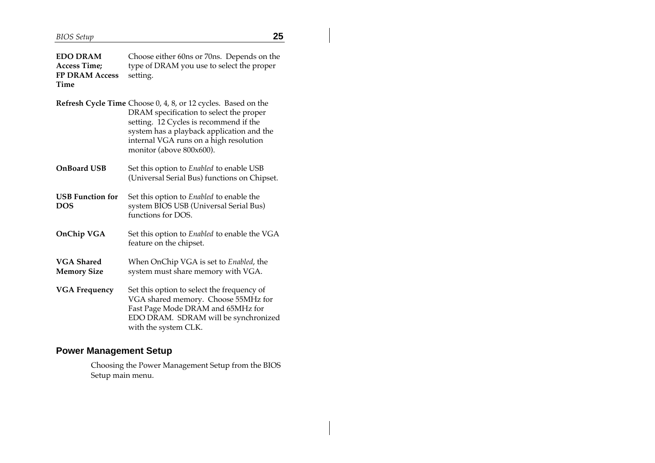**EDO DRAM Access Time; FP DRAM Access Time** Choose either 60ns or 70ns. Depends on the type of DRAM you use to select the proper setting.

|                    | Refresh Cycle Time Choose 0, 4, 8, or 12 cycles. Based on the<br>DRAM specification to select the proper<br>setting. 12 Cycles is recommend if the<br>system has a playback application and the<br>internal VGA runs on a high resolution<br>monitor (above 800x600). |
|--------------------|-----------------------------------------------------------------------------------------------------------------------------------------------------------------------------------------------------------------------------------------------------------------------|
| <b>OnBoard USB</b> | Set this option to <i>Enabled</i> to enable USB<br>(Universal Serial Bus) functions on Chipset.                                                                                                                                                                       |

- **USB Function for DOS** Set this option to *Enabled* to enable the system BIOS USB (Universal Serial Bus) functions for DOS.
- **OnChip VGA** Set this option to *Enabled* to enable the VGA feature on the chipset.
- **VGA Shared Memory Size** When OnChip VGA is set to *Enabled*, the system must share memory with VGA.
- **VGA Frequency** Set this option to select the frequency of VGA shared memory. Choose 55MHz for Fast Page Mode DRAM and 65MHz for EDO DRAM. SDRAM will be synchronized with the system CLK.

#### **Power Management Setup**

Choosing the Power Management Setup from the BIOS Setup main menu.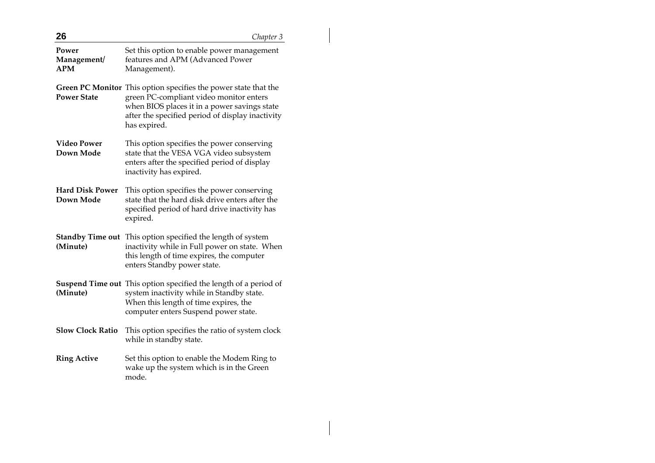| 26                                  | Chapter 3                                                                                                                                                                                                                      |
|-------------------------------------|--------------------------------------------------------------------------------------------------------------------------------------------------------------------------------------------------------------------------------|
| Power<br>Management/<br><b>APM</b>  | Set this option to enable power management<br>features and APM (Advanced Power<br>Management).                                                                                                                                 |
| <b>Power State</b>                  | Green PC Monitor This option specifies the power state that the<br>green PC-compliant video monitor enters<br>when BIOS places it in a power savings state<br>after the specified period of display inactivity<br>has expired. |
| <b>Video Power</b><br>Down Mode     | This option specifies the power conserving<br>state that the VESA VGA video subsystem<br>enters after the specified period of display<br>inactivity has expired.                                                               |
| <b>Hard Disk Power</b><br>Down Mode | This option specifies the power conserving<br>state that the hard disk drive enters after the<br>specified period of hard drive inactivity has<br>expired.                                                                     |
| <b>Standby Time out</b><br>(Minute) | This option specified the length of system<br>inactivity while in Full power on state. When<br>this length of time expires, the computer<br>enters Standby power state.                                                        |
| (Minute)                            | <b>Suspend Time out</b> This option specified the length of a period of<br>system inactivity while in Standby state.<br>When this length of time expires, the<br>computer enters Suspend power state.                          |
| <b>Slow Clock Ratio</b>             | This option specifies the ratio of system clock<br>while in standby state.                                                                                                                                                     |
| <b>Ring Active</b>                  | Set this option to enable the Modem Ring to<br>wake up the system which is in the Green<br>mode.                                                                                                                               |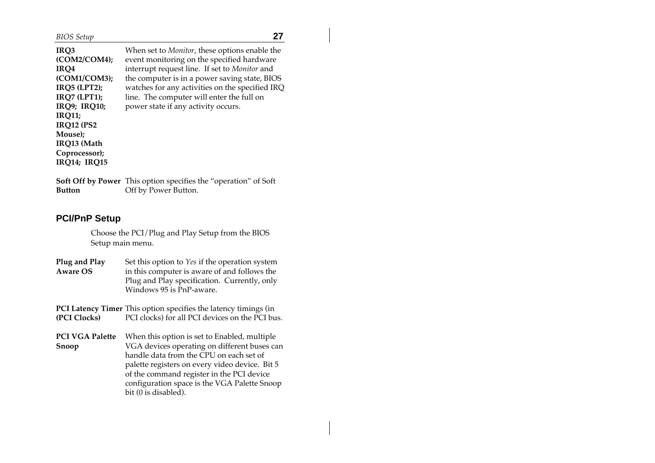| IRQ3                | When set to <i>Monitor</i> , these options enable the |
|---------------------|-------------------------------------------------------|
| (COM2/COM4);        | event monitoring on the specified hardware            |
| IRO4                | interrupt request line. If set to Monitor and         |
| (COM1/COM3);        | the computer is in a power saving state, BIOS         |
| <b>IRQ5 (LPT2);</b> | watches for any activities on the specified IRQ       |
| <b>IRQ7 (LPT1);</b> | line. The computer will enter the full on             |
| <b>IRQ9; IRQ10;</b> | power state if any activity occurs.                   |
| <b>IRO11:</b>       |                                                       |
| <b>IRO12 (PS2)</b>  |                                                       |
| Mouse);             |                                                       |
| IRQ13 (Math         |                                                       |
| Coprocessor);       |                                                       |
| <b>IRQ14; IRQ15</b> |                                                       |
|                     |                                                       |

**Soft Off by Power** This option specifies the "operation" of Soft **Button** Off by Power Button.

#### **PCI/PnP Setup**

Choose the PCI/Plug and Play Setup from the BIOS Setup main menu.

| Plug and Play   | Set this option to <i>Yes</i> if the operation system |
|-----------------|-------------------------------------------------------|
| <b>Aware OS</b> | in this computer is aware of and follows the          |
|                 | Plug and Play specification. Currently, only          |
|                 | Windows 95 is PnP-aware.                              |

**PCI Latency Timer** This option specifies the latency timings (in **(PCI Clocks)** PCI clocks) for all PCI devices on the PCI bus.

**PCI VGA Palette** When this option is set to Enabled, multiple **Snoop** VGA devices operating on different buses can handle data from the CPU on each set of palette registers on every video device. Bit 5 of the command register in the PCI device configuration space is the VGA Palette Snoop bit (0 is disabled).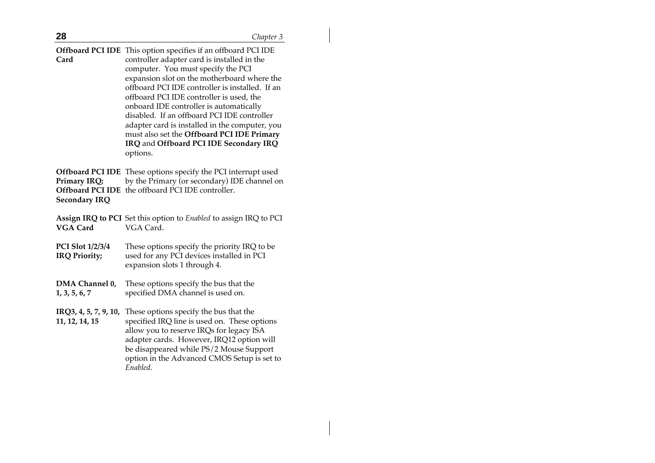**Offboard PCI IDE** This option specifies if an offboard PCI IDE **Card** controller adapter card is installed in the computer. You must specify the PCI expansion slot on the motherboard where the offboard PCI IDE controller is installed. If an offboard PCI IDE controller is used, the onboard IDE controller is automatically disabled. If an offboard PCI IDE controller adapter card is installed in the computer, you must also set the **Offboard PCI IDE Primary IRQ** and **Offboard PCI IDE Secondary IRQ** options.

**Offboard PCI IDE** These options specify the PCI interrupt used **Primary IRQ; Offboard PCI IDE** the offboard PCI IDE controller. **Secondary IRQ** by the Primary (or secondary) IDE channel on

|          |           | Assign IRQ to PCI Set this option to Enabled to assign IRQ to PCI |
|----------|-----------|-------------------------------------------------------------------|
| VGA Card | VGA Card. |                                                                   |
|          |           |                                                                   |

- **PCI Slot 1/2/3/4 IRQ Priority;** These options specify the priority IRQ to be used for any PCI devices installed in PCI expansion slots 1 through 4.
- **DMA Channel 0, 1, 3, 5, 6, 7** These options specify the bus that the specified DMA channel is used on.

**IRQ3, 4, 5, 7, 9, 10,** These options specify the bus that the

**11, 12, 14, 15** specified IRQ line is used on. These options allow you to reserve IRQs for legacy ISA adapter cards. However, IRQ12 option will be disappeared while PS/2 Mouse Support option in the Advanced CMOS Setup is set to *Enabled*.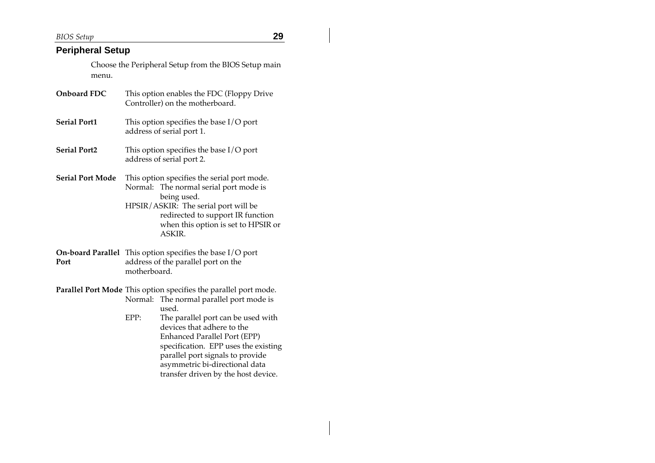*BIOS Setup* **29**

#### **Peripheral Setup**

Choose the Peripheral Setup from the BIOS Setup main menu.

| Onboard FDC             | This option enables the FDC (Floppy Drive<br>Controller) on the motherboard.                                                                                                                                                       |
|-------------------------|------------------------------------------------------------------------------------------------------------------------------------------------------------------------------------------------------------------------------------|
| <b>Serial Port1</b>     | This option specifies the base $I/O$ port<br>address of serial port 1.                                                                                                                                                             |
| <b>Serial Port2</b>     | This option specifies the base I/O port<br>address of serial port 2.                                                                                                                                                               |
| <b>Serial Port Mode</b> | This option specifies the serial port mode.<br>Normal: The normal serial port mode is<br>being used.<br>HPSIR/ASKIR: The serial port will be<br>redirected to support IR function<br>when this option is set to HPSIR or<br>ASKIR. |
| Port                    | <b>On-board Parallel</b> This option specifies the base $I/O$ port<br>address of the parallel port on the<br>motherboard.                                                                                                          |
|                         | Parallel Port Mode This option specifies the parallel port mode.<br>NT 1 171 111 111 1                                                                                                                                             |

Normal: The normal parallel port mode is used.

EPP: The parallel port can be used with devices that adhere to the Enhanced Parallel Port (EPP) specification. EPP uses the existing parallel port signals to provide asymmetric bi-directional data transfer driven by the host device.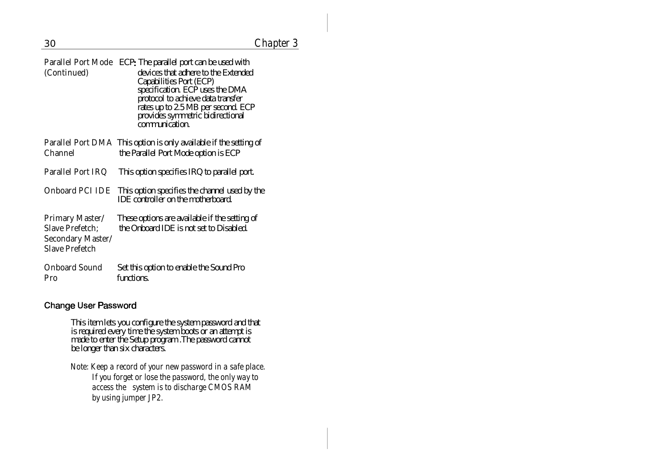| (Continued)                                                                             | Parallel Port Mode ECP: The parallel port can be used with<br>devices that adhere to the Extended<br>Capabilities Port (ECP)<br>specification. ECP uses the DMA<br>protocol to achieve data transfer<br>rates up to 2.5 MB per second. ECP<br>provides symmetric bidirectional<br>communication. |
|-----------------------------------------------------------------------------------------|--------------------------------------------------------------------------------------------------------------------------------------------------------------------------------------------------------------------------------------------------------------------------------------------------|
| Channel                                                                                 | Parallel Port DMA This option is only available if the setting of<br>the Parallel Port Mode option is ECP                                                                                                                                                                                        |
| Parallel Port IRQ                                                                       | This option specifies IRQ to parallel port.                                                                                                                                                                                                                                                      |
| Onboard PCI IDE                                                                         | This option specifies the channel used by the<br><b>IDE</b> controller on the motherboard.                                                                                                                                                                                                       |
| Primary Master/<br><b>Slave Prefetch:</b><br>Secondary Master/<br><b>Slave Prefetch</b> | These options are available if the setting of<br>the Onboard IDE is not set to Disabled.                                                                                                                                                                                                         |
| <b>Onboard Sound</b><br>Pro                                                             | Set this option to enable the Sound Pro<br>functions.                                                                                                                                                                                                                                            |

#### **Change User Password**

This item lets you configure the system password and that is required every time the system boots or an attempt is made to enter the Setup program .The password cannot be longer than six characters.

Note: Keep a record of your new password in a safe place. If you forget or lose the password, the only way to access the system is to discharge CMOS RAM by using jumper JP2.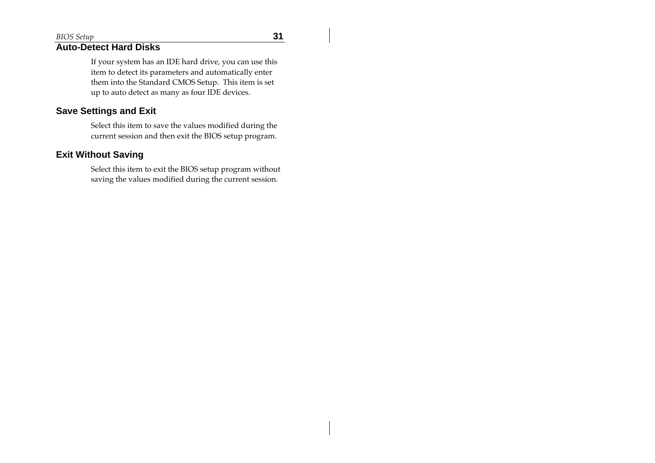#### **Auto-Detect Hard Disks**

If your system has an IDE hard drive, you can use this item to detect its parameters and automatically enter them into the Standard CMOS Setup. This item is set up to auto detect as many as four IDE devices.

#### **Save Settings and Exit**

Select this item to save the values modified during the current session and then exit the BIOS setup program.

#### **Exit Without Saving**

Select this item to exit the BIOS setup program without saving the values modified during the current session.